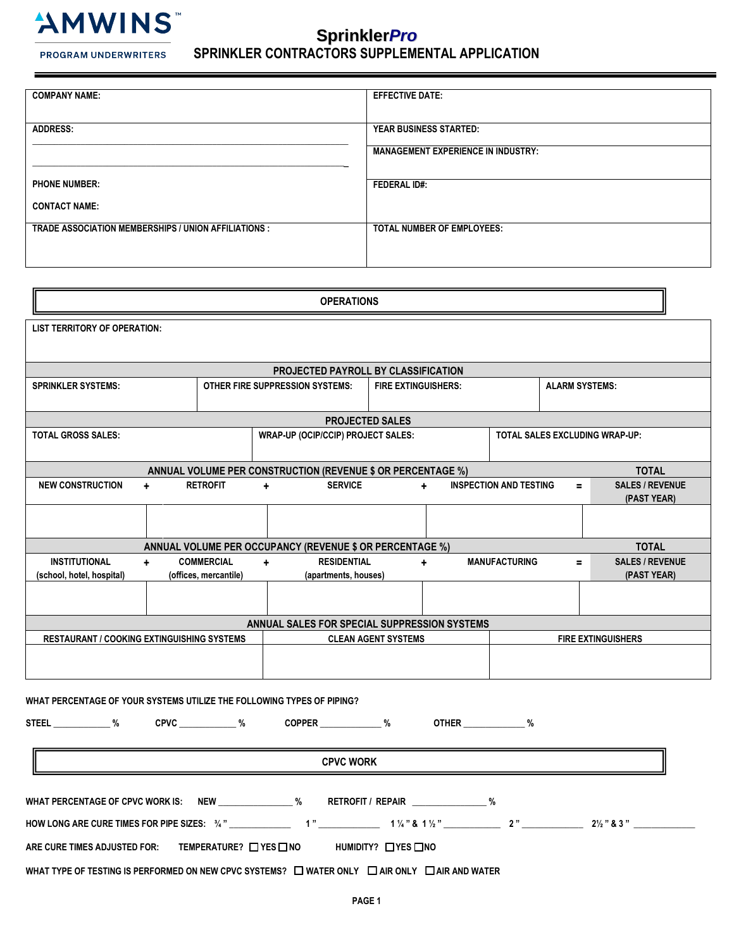

**PROGRAM UNDERWRITERS** 

# **Sprinkler***Pro* **SPRINKLER CONTRACTORS SUPPLEMENTAL APPLICATION**

| <b>COMPANY NAME:</b>                                       | <b>EFFECTIVE DATE:</b>                    |
|------------------------------------------------------------|-------------------------------------------|
|                                                            |                                           |
|                                                            |                                           |
|                                                            |                                           |
| <b>ADDRESS:</b>                                            | <b>YEAR BUSINESS STARTED:</b>             |
|                                                            |                                           |
|                                                            | <b>MANAGEMENT EXPERIENCE IN INDUSTRY:</b> |
|                                                            |                                           |
|                                                            |                                           |
|                                                            |                                           |
| <b>PHONE NUMBER:</b>                                       | <b>FEDERAL ID#:</b>                       |
|                                                            |                                           |
| <b>CONTACT NAME:</b>                                       |                                           |
|                                                            |                                           |
|                                                            |                                           |
| <b>TRADE ASSOCIATION MEMBERSHIPS / UNION AFFILIATIONS:</b> | <b>TOTAL NUMBER OF EMPLOYEES:</b>         |
|                                                            |                                           |
|                                                            |                                           |
|                                                            |                                           |
|                                                            |                                           |

| <b>OPERATIONS</b>                                                           |     |                            |                                           |                                              |                            |                                       |                               |                |                                       |
|-----------------------------------------------------------------------------|-----|----------------------------|-------------------------------------------|----------------------------------------------|----------------------------|---------------------------------------|-------------------------------|----------------|---------------------------------------|
| <b>LIST TERRITORY OF OPERATION:</b>                                         |     |                            |                                           |                                              |                            |                                       |                               |                |                                       |
|                                                                             |     |                            |                                           |                                              |                            |                                       |                               |                |                                       |
|                                                                             |     |                            |                                           | <b>PROJECTED PAYROLL BY CLASSIFICATION</b>   |                            |                                       |                               |                |                                       |
| <b>SPRINKLER SYSTEMS:</b>                                                   |     |                            | <b>OTHER FIRE SUPPRESSION SYSTEMS:</b>    |                                              | <b>FIRE EXTINGUISHERS:</b> |                                       | <b>ALARM SYSTEMS:</b>         |                |                                       |
|                                                                             |     |                            |                                           | <b>PROJECTED SALES</b>                       |                            |                                       |                               |                |                                       |
| <b>TOTAL GROSS SALES:</b>                                                   |     |                            | <b>WRAP-UP (OCIP/CCIP) PROJECT SALES:</b> |                                              |                            | <b>TOTAL SALES EXCLUDING WRAP-UP:</b> |                               |                |                                       |
| <b>TOTAL</b><br>ANNUAL VOLUME PER CONSTRUCTION (REVENUE \$ OR PERCENTAGE %) |     |                            |                                           |                                              |                            |                                       |                               |                |                                       |
| <b>NEW CONSTRUCTION</b>                                                     | $+$ | <b>RETROFIT</b>            | $\ddot{\phantom{1}}$                      | <b>SERVICE</b>                               |                            | $\ddot{}$                             | <b>INSPECTION AND TESTING</b> | $\blacksquare$ | <b>SALES / REVENUE</b><br>(PAST YEAR) |
|                                                                             |     |                            |                                           |                                              |                            |                                       |                               |                |                                       |
| <b>TOTAL</b><br>ANNUAL VOLUME PER OCCUPANCY (REVENUE \$ OR PERCENTAGE %)    |     |                            |                                           |                                              |                            |                                       |                               |                |                                       |
| <b>INSTITUTIONAL</b>                                                        | $+$ | <b>COMMERCIAL</b>          | ÷.                                        | <b>RESIDENTIAL</b>                           |                            | $\ddot{}$                             | <b>MANUFACTURING</b>          | $=$            | <b>SALES / REVENUE</b>                |
| (school, hotel, hospital)                                                   |     | (offices, mercantile)      |                                           | (apartments, houses)                         |                            |                                       |                               |                | (PAST YEAR)                           |
|                                                                             |     |                            |                                           |                                              |                            |                                       |                               |                |                                       |
|                                                                             |     |                            |                                           | ANNUAL SALES FOR SPECIAL SUPPRESSION SYSTEMS |                            |                                       |                               |                |                                       |
| <b>RESTAURANT / COOKING EXTINGUISHING SYSTEMS</b>                           |     | <b>CLEAN AGENT SYSTEMS</b> |                                           |                                              |                            | <b>FIRE EXTINGUISHERS</b>             |                               |                |                                       |
|                                                                             |     |                            |                                           |                                              |                            |                                       |                               |                |                                       |
|                                                                             |     |                            |                                           |                                              |                            |                                       |                               |                |                                       |

**WHAT PERCENTAGE OF YOUR SYSTEMS UTILIZE THE FOLLOWING TYPES OF PIPING?** 

**STEEL \_\_\_\_\_\_\_\_\_\_\_\_\_ % CPVC \_\_\_\_\_\_\_\_\_\_\_\_\_ % COPPER \_\_\_\_\_\_\_\_\_\_\_\_\_\_ % OTHER \_\_\_\_\_\_\_\_\_\_\_\_\_\_ %** 

**CPVC WORK**

**WHAT PERCENTAGE OF CPVC WORK IS: NEW \_\_\_\_\_\_\_\_\_\_\_\_\_\_\_\_\_ % RETROFIT / REPAIR \_\_\_\_\_\_\_\_\_\_\_\_\_\_\_\_\_ %** 

**HOW LONG ARE CURE TIMES FOR PIPE SIZES: ¾ " \_\_\_\_\_\_\_\_\_\_\_\_\_\_ 1 " \_\_\_\_\_\_\_\_\_\_\_\_\_\_ 1 ¼ " & 1 ½ " \_\_\_\_\_\_\_\_\_\_\_\_\_ 2 " \_\_\_\_\_\_\_\_\_\_\_\_\_\_ 2½ " & 3 " \_\_\_\_\_\_\_\_\_\_\_\_\_\_** 

**ARE CURE TIMES ADJUSTED FOR: TEMPERATURE? YES NO HUMIDITY? YES NO**

**WHAT TYPE OF TESTING IS PERFORMED ON NEW CPVC SYSTEMS? □ WATER ONLY □ AIR ONLY □ AIR AND WATER**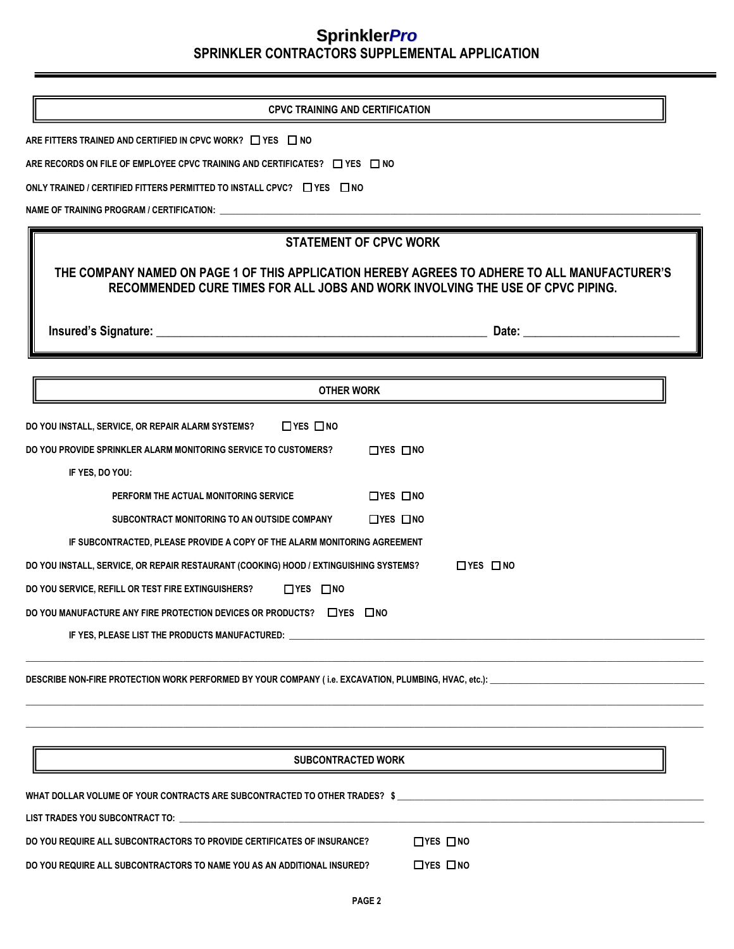| <b>CPVC TRAINING AND CERTIFICATION</b>                                                                                                                                                                           |  |  |  |  |
|------------------------------------------------------------------------------------------------------------------------------------------------------------------------------------------------------------------|--|--|--|--|
| ARE FITTERS TRAINED AND CERTIFIED IN CPVC WORK? $\Box$ YES $\Box$ NO                                                                                                                                             |  |  |  |  |
| ARE RECORDS ON FILE OF EMPLOYEE CPVC TRAINING AND CERTIFICATES? $\Box$ YES $\Box$ NO                                                                                                                             |  |  |  |  |
| ONLY TRAINED / CERTIFIED FITTERS PERMITTED TO INSTALL CPVC? $\Box$ YES $\Box$ NO                                                                                                                                 |  |  |  |  |
| NAME OF TRAINING PROGRAM / CERTIFICATION:                                                                                                                                                                        |  |  |  |  |
|                                                                                                                                                                                                                  |  |  |  |  |
| <b>STATEMENT OF CPVC WORK</b><br>THE COMPANY NAMED ON PAGE 1 OF THIS APPLICATION HEREBY AGREES TO ADHERE TO ALL MANUFACTURER'S<br>RECOMMENDED CURE TIMES FOR ALL JOBS AND WORK INVOLVING THE USE OF CPVC PIPING. |  |  |  |  |
| Date: and the state of the state of the state of the state of the state of the state of the state of the state                                                                                                   |  |  |  |  |
|                                                                                                                                                                                                                  |  |  |  |  |
| <b>OTHER WORK</b>                                                                                                                                                                                                |  |  |  |  |
|                                                                                                                                                                                                                  |  |  |  |  |
| DO YOU INSTALL, SERVICE, OR REPAIR ALARM SYSTEMS?<br>$\Box$ YES $\Box$ NO                                                                                                                                        |  |  |  |  |
| DO YOU PROVIDE SPRINKLER ALARM MONITORING SERVICE TO CUSTOMERS?<br>$\Box$ YES $\Box$ NO                                                                                                                          |  |  |  |  |
| IF YES, DO YOU:                                                                                                                                                                                                  |  |  |  |  |
| $\Box$ YES $\Box$ NO<br>PERFORM THE ACTUAL MONITORING SERVICE                                                                                                                                                    |  |  |  |  |
| $\Box$ YES $\Box$ NO<br>SUBCONTRACT MONITORING TO AN OUTSIDE COMPANY                                                                                                                                             |  |  |  |  |
| IF SUBCONTRACTED, PLEASE PROVIDE A COPY OF THE ALARM MONITORING AGREEMENT                                                                                                                                        |  |  |  |  |
| DO YOU INSTALL, SERVICE, OR REPAIR RESTAURANT (COOKING) HOOD / EXTINGUISHING SYSTEMS?<br>$\Box$ YES $\Box$ NO                                                                                                    |  |  |  |  |
| DO YOU SERVICE, REFILL OR TEST FIRE EXTINGUISHERS?<br>$\Box$ YES $\Box$ NO                                                                                                                                       |  |  |  |  |
| DO YOU MANUFACTURE ANY FIRE PROTECTION DEVICES OR PRODUCTS? □ YES □ NO                                                                                                                                           |  |  |  |  |
|                                                                                                                                                                                                                  |  |  |  |  |
| DESCRIBE NON-FIRE PROTECTION WORK PERFORMED BY YOUR COMPANY (i.e. EXCAVATION, PLUMBING, HVAC, etc.): __________________________________                                                                          |  |  |  |  |
|                                                                                                                                                                                                                  |  |  |  |  |
| <b>SUBCONTRACTED WORK</b>                                                                                                                                                                                        |  |  |  |  |
|                                                                                                                                                                                                                  |  |  |  |  |
|                                                                                                                                                                                                                  |  |  |  |  |
| $\Box$ YES $\Box$ NO<br>DO YOU REQUIRE ALL SUBCONTRACTORS TO PROVIDE CERTIFICATES OF INSURANCE?                                                                                                                  |  |  |  |  |
| DO YOU REQUIRE ALL SUBCONTRACTORS TO NAME YOU AS AN ADDITIONAL INSURED?<br>$\Box$ YES $\Box$ NO                                                                                                                  |  |  |  |  |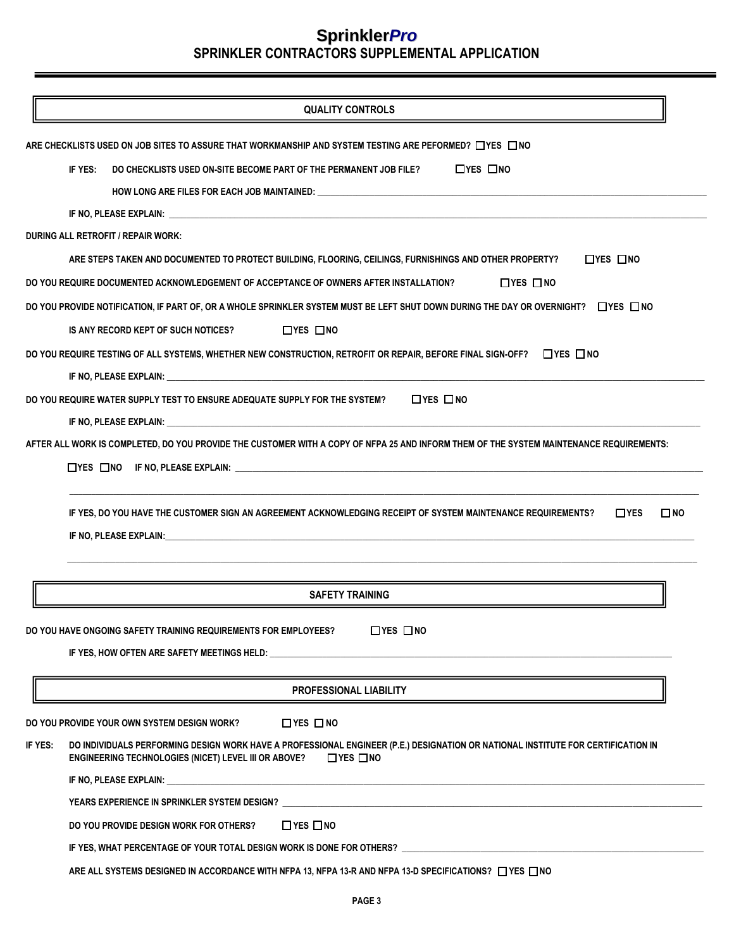|         | <b>QUALITY CONTROLS</b>                                                                                                                                                                                                        |
|---------|--------------------------------------------------------------------------------------------------------------------------------------------------------------------------------------------------------------------------------|
|         | ARE CHECKLISTS USED ON JOB SITES TO ASSURE THAT WORKMANSHIP AND SYSTEM TESTING ARE PEFORMED? $\Box$ YES $\,\Box$ NO                                                                                                            |
|         | $\Box$ YES $\Box$ NO<br>IF YES:<br>DO CHECKLISTS USED ON-SITE BECOME PART OF THE PERMANENT JOB FILE?                                                                                                                           |
|         |                                                                                                                                                                                                                                |
|         |                                                                                                                                                                                                                                |
|         | DURING ALL RETROFIT / REPAIR WORK:                                                                                                                                                                                             |
|         | ARE STEPS TAKEN AND DOCUMENTED TO PROTECT BUILDING, FLOORING, CEILINGS, FURNISHINGS AND OTHER PROPERTY?<br>$\Box$ YES $\Box$ NO                                                                                                |
|         | DO YOU REQUIRE DOCUMENTED ACKNOWLEDGEMENT OF ACCEPTANCE OF OWNERS AFTER INSTALLATION?<br>$\Box$ YES $\Box$ NO                                                                                                                  |
|         |                                                                                                                                                                                                                                |
|         | DO YOU PROVIDE NOTIFICATION, IF PART OF, OR A WHOLE SPRINKLER SYSTEM MUST BE LEFT SHUT DOWN DURING THE DAY OR OVERNIGHT? □YES □NO                                                                                              |
|         | $\Box$ YES $\Box$ NO<br>IS ANY RECORD KEPT OF SUCH NOTICES?                                                                                                                                                                    |
|         | DO YOU REQUIRE TESTING OF ALL SYSTEMS, WHETHER NEW CONSTRUCTION, RETROFIT OR REPAIR, BEFORE FINAL SIGN-OFF? $\Box$ YES $\Box$ NO                                                                                               |
|         |                                                                                                                                                                                                                                |
|         | $\Box$ YES $\Box$ NO<br>DO YOU REQUIRE WATER SUPPLY TEST TO ENSURE ADEQUATE SUPPLY FOR THE SYSTEM?                                                                                                                             |
|         |                                                                                                                                                                                                                                |
|         | AFTER ALL WORK IS COMPLETED, DO YOU PROVIDE THE CUSTOMER WITH A COPY OF NFPA 25 AND INFORM THEM OF THE SYSTEM MAINTENANCE REQUIREMENTS:                                                                                        |
|         | $\Box$ YES $\Box$ NO IF NO, PLEASE EXPLAIN: $\Box$                                                                                                                                                                             |
|         | IF YES, DO YOU HAVE THE CUSTOMER SIGN AN AGREEMENT ACKNOWLEDGING RECEIPT OF SYSTEM MAINTENANCE REQUIREMENTS?<br>$\square$ NO<br>$\Box$ YES                                                                                     |
|         | IF NO, PLEASE EXPLAIN: New York of the Second Contract of the Second Contract of the Second Contract of the Second Contract of the Second Contract of the Second Contract of the Second Contract of the Second Contract of the |
|         |                                                                                                                                                                                                                                |
|         |                                                                                                                                                                                                                                |
|         | <b>SAFETY TRAINING</b>                                                                                                                                                                                                         |
|         | $\Box$ YES $\Box$ NO<br>DO YOU HAVE ONGOING SAFETY TRAINING REQUIREMENTS FOR EMPLOYEES?                                                                                                                                        |
|         | IF YES, HOW OFTEN ARE SAFETY MEETINGS HELD: Under the contract of the contract of the contract of the contract of the contract of the contract of the contract of the contract of the contract of the contract of the contract |
|         |                                                                                                                                                                                                                                |
|         | PROFESSIONAL LIABILITY                                                                                                                                                                                                         |
|         | $\Box$ YES $\Box$ NO<br>DO YOU PROVIDE YOUR OWN SYSTEM DESIGN WORK?                                                                                                                                                            |
| if yes: | DO INDIVIDUALS PERFORMING DESIGN WORK HAVE A PROFESSIONAL ENGINEER (P.E.) DESIGNATION OR NATIONAL INSTITUTE FOR CERTIFICATION IN<br>$\Box$ YES $\Box$ NO<br><b>ENGINEERING TECHNOLOGIES (NICET) LEVEL III OR ABOVE?</b>        |
|         |                                                                                                                                                                                                                                |
|         | YEARS EXPERIENCE IN SPRINKLER SYSTEM DESIGN?                                                                                                                                                                                   |
|         | $\Box$ YES $\Box$ NO<br>DO YOU PROVIDE DESIGN WORK FOR OTHERS?                                                                                                                                                                 |
|         |                                                                                                                                                                                                                                |
|         |                                                                                                                                                                                                                                |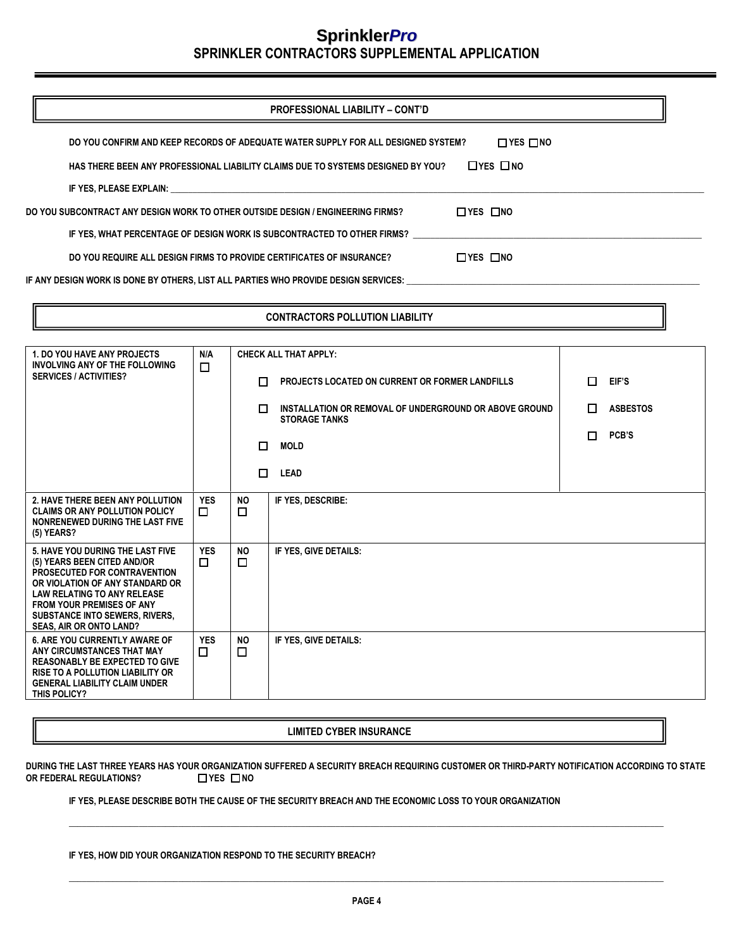|                                                                                 | <b>PROFESSIONAL LIABILITY - CONT'D</b>                                                                         |                      |
|---------------------------------------------------------------------------------|----------------------------------------------------------------------------------------------------------------|----------------------|
|                                                                                 | DO YOU CONFIRM AND KEEP RECORDS OF ADEQUATE WATER SUPPLY FOR ALL DESIGNED SYSTEM?                              | $\Box$ YES $\Box$ NO |
|                                                                                 | HAS THERE BEEN ANY PROFESSIONAL LIABILITY CLAIMS DUE TO SYSTEMS DESIGNED BY YOU?                               | $\Box$ YES $\Box$ NO |
|                                                                                 | IF YES, PLEASE EXPLAIN: WAS ARRESTED FOR A 200 FOR THE STATE OF THE STATE OF THE STATE OF THE STATE OF THE STA |                      |
| DO YOU SUBCONTRACT ANY DESIGN WORK TO OTHER OUTSIDE DESIGN / ENGINEERING FIRMS? |                                                                                                                | $\Box$ YES $\Box$ NO |
|                                                                                 | IF YES, WHAT PERCENTAGE OF DESIGN WORK IS SUBCONTRACTED TO OTHER FIRMS?                                        |                      |
|                                                                                 | DO YOU REQUIRE ALL DESIGN FIRMS TO PROVIDE CERTIFICATES OF INSURANCE?                                          | $\Box$ YES $\Box$ NO |
|                                                                                 | IF ANY DESIGN WORK IS DONE BY OTHERS. LIST ALL PARTIES WHO PROVIDE DESIGN SERVICES:                            |                      |
|                                                                                 |                                                                                                                |                      |
|                                                                                 | <b>CONTRACTORS POLLUTION LIABILITY</b>                                                                         |                      |

| <b>1. DO YOU HAVE ANY PROJECTS</b><br>INVOLVING ANY OF THE FOLLOWING                                                                                                                                                                                                             | N/A                  | <b>CHECK ALL THAT APPLY:</b> |                                                                                |                                                        |                 |       |
|----------------------------------------------------------------------------------------------------------------------------------------------------------------------------------------------------------------------------------------------------------------------------------|----------------------|------------------------------|--------------------------------------------------------------------------------|--------------------------------------------------------|-----------------|-------|
| <b>SERVICES / ACTIVITIES?</b>                                                                                                                                                                                                                                                    |                      | $\Box$                       | П.                                                                             | <b>PROJECTS LOCATED ON CURRENT OR FORMER LANDFILLS</b> | П.              | EIF'S |
|                                                                                                                                                                                                                                                                                  |                      | п                            | INSTALLATION OR REMOVAL OF UNDERGROUND OR ABOVE GROUND<br><b>STORAGE TANKS</b> | П.                                                     | <b>ASBESTOS</b> |       |
|                                                                                                                                                                                                                                                                                  |                      | □                            | <b>MOLD</b>                                                                    | П                                                      | PCB'S           |       |
|                                                                                                                                                                                                                                                                                  |                      | П.                           | <b>LEAD</b>                                                                    |                                                        |                 |       |
| 2. HAVE THERE BEEN ANY POLLUTION<br><b>CLAIMS OR ANY POLLUTION POLICY</b><br>NONRENEWED DURING THE LAST FIVE<br>$(5)$ YEARS?                                                                                                                                                     | <b>YES</b><br>□      | NO.<br>口                     | IF YES. DESCRIBE:                                                              |                                                        |                 |       |
| 5. HAVE YOU DURING THE LAST FIVE<br>(5) YEARS BEEN CITED AND/OR<br>PROSECUTED FOR CONTRAVENTION<br>OR VIOLATION OF ANY STANDARD OR<br><b>LAW RELATING TO ANY RELEASE</b><br><b>FROM YOUR PREMISES OF ANY</b><br><b>SUBSTANCE INTO SEWERS, RIVERS,</b><br>SEAS, AIR OR ONTO LAND? | <b>YES</b><br>П      | <b>NO</b><br>□               | IF YES. GIVE DETAILS:                                                          |                                                        |                 |       |
| <b>6. ARE YOU CURRENTLY AWARE OF</b><br>ANY CIRCUMSTANCES THAT MAY<br><b>REASONABLY BE EXPECTED TO GIVE</b><br><b>RISE TO A POLLUTION LIABILITY OR</b><br><b>GENERAL LIABILITY CLAIM UNDER</b><br>THIS POLICY?                                                                   | <b>YES</b><br>$\Box$ | <b>NO</b><br>□               | IF YES. GIVE DETAILS:                                                          |                                                        |                 |       |

**LIMITED CYBER INSURANCE**

**DURING THE LAST THREE YEARS HAS YOUR ORGANIZATION SUFFERED A SECURITY BREACH REQUIRING CUSTOMER OR THIRD-PARTY NOTIFICATION ACCORDING TO STATE OR FEDERAL REGULATIONS?** □ YES □ NO

**\_\_\_\_\_\_\_\_\_\_\_\_\_\_\_\_\_\_\_\_\_\_\_\_\_\_\_\_\_\_\_\_\_\_\_\_\_\_\_\_\_\_\_\_\_\_\_\_\_\_\_\_\_\_\_\_\_\_\_\_\_\_\_\_\_\_\_\_\_\_\_\_\_\_\_\_\_\_\_\_\_\_\_\_\_\_\_\_\_\_\_\_\_\_\_\_\_\_\_\_\_\_\_\_\_\_\_\_\_\_\_\_\_\_\_\_\_\_\_\_\_\_\_\_\_\_\_\_\_\_\_\_\_\_\_\_** 

**IF YES, PLEASE DESCRIBE BOTH THE CAUSE OF THE SECURITY BREACH AND THE ECONOMIC LOSS TO YOUR ORGANIZATION** 

| IF YES. HOW DID YOUR ORGANIZATION RESPOND TO THE SECURITY BREACH? |
|-------------------------------------------------------------------|
|-------------------------------------------------------------------|